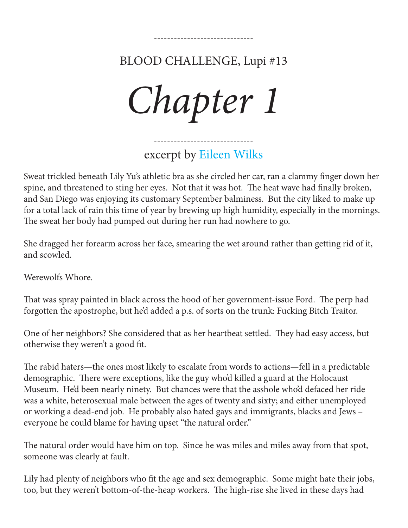## BLOOD CHALLENGE, Lupi #13

------------------------------

*Chapter 1*

----------------------------- excerpt by Eileen Wilks

Sweat trickled beneath Lily Yu's athletic bra as she circled her car, ran a clammy finger down her spine, and threatened to sting her eyes. Not that it was hot. The heat wave had finally broken, and San Diego was enjoying its customary September balminess. But the city liked to make up for a total lack of rain this time of year by brewing up high humidity, especially in the mornings. The sweat her body had pumped out during her run had nowhere to go.

She dragged her forearm across her face, smearing the wet around rather than getting rid of it, and scowled.

Werewolfs Whore.

That was spray painted in black across the hood of her government-issue Ford. The perp had forgotten the apostrophe, but he'd added a p.s. of sorts on the trunk: Fucking Bitch Traitor.

One of her neighbors? She considered that as her heartbeat settled. They had easy access, but otherwise they weren't a good fit.

The rabid haters—the ones most likely to escalate from words to actions—fell in a predictable demographic. There were exceptions, like the guy who'd killed a guard at the Holocaust Museum. He'd been nearly ninety. But chances were that the asshole who'd defaced her ride was a white, heterosexual male between the ages of twenty and sixty; and either unemployed or working a dead-end job. He probably also hated gays and immigrants, blacks and Jews – everyone he could blame for having upset "the natural order."

The natural order would have him on top. Since he was miles and miles away from that spot, someone was clearly at fault.

Lily had plenty of neighbors who fit the age and sex demographic. Some might hate their jobs, too, but they weren't bottom-of-the-heap workers. The high-rise she lived in these days had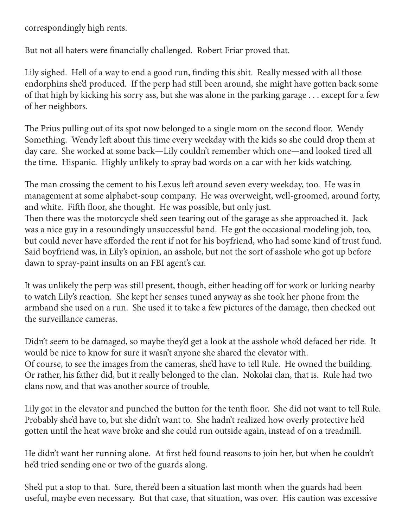correspondingly high rents.

But not all haters were financially challenged. Robert Friar proved that.

Lily sighed. Hell of a way to end a good run, finding this shit. Really messed with all those endorphins she'd produced. If the perp had still been around, she might have gotten back some of that high by kicking his sorry ass, but she was alone in the parking garage . . . except for a few of her neighbors.

The Prius pulling out of its spot now belonged to a single mom on the second floor. Wendy Something. Wendy left about this time every weekday with the kids so she could drop them at day care. She worked at some back—Lily couldn't remember which one—and looked tired all the time. Hispanic. Highly unlikely to spray bad words on a car with her kids watching.

The man crossing the cement to his Lexus left around seven every weekday, too. He was in management at some alphabet-soup company. He was overweight, well-groomed, around forty, and white. Fifth floor, she thought. He was possible, but only just. Then there was the motorcycle she'd seen tearing out of the garage as she approached it. Jack was a nice guy in a resoundingly unsuccessful band. He got the occasional modeling job, too, but could never have afforded the rent if not for his boyfriend, who had some kind of trust fund. Said boyfriend was, in Lily's opinion, an asshole, but not the sort of asshole who got up before dawn to spray-paint insults on an FBI agent's car.

It was unlikely the perp was still present, though, either heading off for work or lurking nearby to watch Lily's reaction. She kept her senses tuned anyway as she took her phone from the armband she used on a run. She used it to take a few pictures of the damage, then checked out the surveillance cameras.

Didn't seem to be damaged, so maybe they'd get a look at the asshole who'd defaced her ride. It would be nice to know for sure it wasn't anyone she shared the elevator with. Of course, to see the images from the cameras, she'd have to tell Rule. He owned the building. Or rather, his father did, but it really belonged to the clan. Nokolai clan, that is. Rule had two clans now, and that was another source of trouble.

Lily got in the elevator and punched the button for the tenth floor. She did not want to tell Rule. Probably she'd have to, but she didn't want to. She hadn't realized how overly protective he'd gotten until the heat wave broke and she could run outside again, instead of on a treadmill.

He didn't want her running alone. At first he'd found reasons to join her, but when he couldn't he'd tried sending one or two of the guards along.

She'd put a stop to that. Sure, there'd been a situation last month when the guards had been useful, maybe even necessary. But that case, that situation, was over. His caution was excessive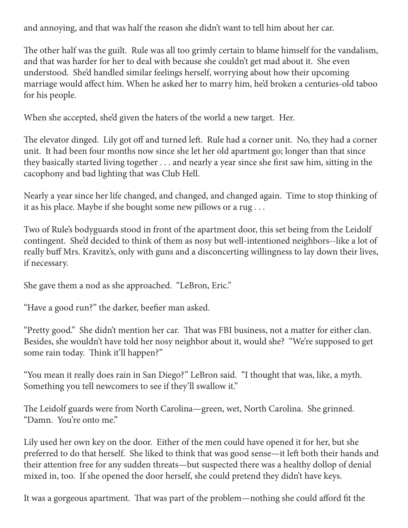and annoying, and that was half the reason she didn't want to tell him about her car.

The other half was the guilt. Rule was all too grimly certain to blame himself for the vandalism, and that was harder for her to deal with because she couldn't get mad about it. She even understood. She'd handled similar feelings herself, worrying about how their upcoming marriage would affect him. When he asked her to marry him, he'd broken a centuries-old taboo for his people.

When she accepted, she'd given the haters of the world a new target. Her.

The elevator dinged. Lily got off and turned left. Rule had a corner unit. No, they had a corner unit. It had been four months now since she let her old apartment go; longer than that since they basically started living together . . . and nearly a year since she first saw him, sitting in the cacophony and bad lighting that was Club Hell.

Nearly a year since her life changed, and changed, and changed again. Time to stop thinking of it as his place. Maybe if she bought some new pillows or a rug . . .

Two of Rule's bodyguards stood in front of the apartment door, this set being from the Leidolf contingent. She'd decided to think of them as nosy but well-intentioned neighbors--like a lot of really buff Mrs. Kravitz's, only with guns and a disconcerting willingness to lay down their lives, if necessary.

She gave them a nod as she approached. "LeBron, Eric."

"Have a good run?" the darker, beefier man asked.

"Pretty good." She didn't mention her car. That was FBI business, not a matter for either clan. Besides, she wouldn't have told her nosy neighbor about it, would she? "We're supposed to get some rain today. Think it'll happen?"

"You mean it really does rain in San Diego?" LeBron said. "I thought that was, like, a myth. Something you tell newcomers to see if they'll swallow it."

The Leidolf guards were from North Carolina—green, wet, North Carolina. She grinned. "Damn. You're onto me."

Lily used her own key on the door. Either of the men could have opened it for her, but she preferred to do that herself. She liked to think that was good sense—it left both their hands and their attention free for any sudden threats—but suspected there was a healthy dollop of denial mixed in, too. If she opened the door herself, she could pretend they didn't have keys.

It was a gorgeous apartment. That was part of the problem—nothing she could afford fit the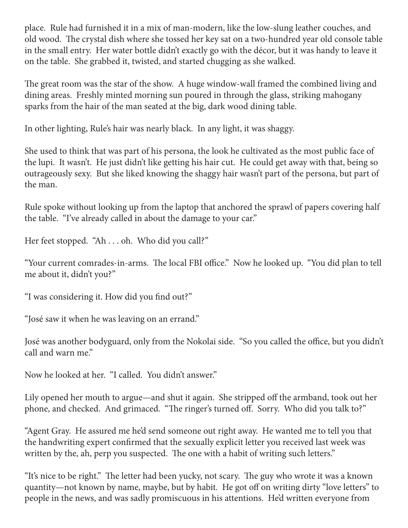place. Rule had furnished it in a mix of man-modern, like the low-slung leather couches, and old wood. The crystal dish where she tossed her key sat on a two-hundred year old console table in the small entry. Her water bottle didn't exactly go with the décor, but it was handy to leave it on the table. She grabbed it, twisted, and started chugging as she walked.

The great room was the star of the show. A huge window-wall framed the combined living and dining areas. Freshly minted morning sun poured in through the glass, striking mahogany sparks from the hair of the man seated at the big, dark wood dining table.

In other lighting, Rule's hair was nearly black. In any light, it was shaggy.

She used to think that was part of his persona, the look he cultivated as the most public face of the lupi. It wasn't. He just didn't like getting his hair cut. He could get away with that, being so outrageously sexy. But she liked knowing the shaggy hair wasn't part of the persona, but part of the man.

Rule spoke without looking up from the laptop that anchored the sprawl of papers covering half the table. "I've already called in about the damage to your car."

Her feet stopped. "Ah . . . oh. Who did you call?"

"Your current comrades-in-arms. The local FBI office." Now he looked up. "You did plan to tell me about it, didn't you?"

"I was considering it. How did you find out?"

"José saw it when he was leaving on an errand."

José was another bodyguard, only from the Nokolai side. "So you called the office, but you didn't call and warn me."

Now he looked at her. "I called. You didn't answer."

Lily opened her mouth to argue—and shut it again. She stripped off the armband, took out her phone, and checked. And grimaced. "The ringer's turned off. Sorry. Who did you talk to?"

"Agent Gray. He assured me he'd send someone out right away. He wanted me to tell you that the handwriting expert confirmed that the sexually explicit letter you received last week was written by the, ah, perp you suspected. The one with a habit of writing such letters."

"It's nice to be right." The letter had been yucky, not scary. The guy who wrote it was a known quantity—not known by name, maybe, but by habit. He got off on writing dirty "love letters" to people in the news, and was sadly promiscuous in his attentions. He'd written everyone from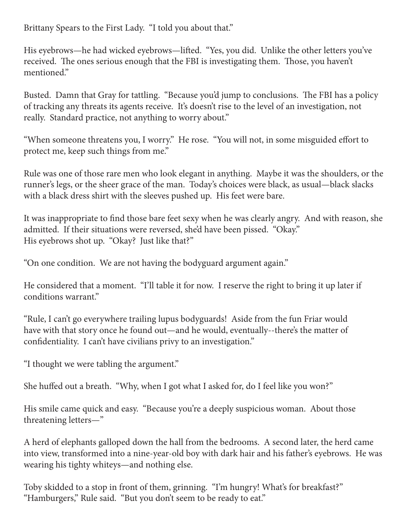Brittany Spears to the First Lady. "I told you about that."

His eyebrows—he had wicked eyebrows—lifted. "Yes, you did. Unlike the other letters you've received. The ones serious enough that the FBI is investigating them. Those, you haven't mentioned."

Busted. Damn that Gray for tattling. "Because you'd jump to conclusions. The FBI has a policy of tracking any threats its agents receive. It's doesn't rise to the level of an investigation, not really. Standard practice, not anything to worry about."

"When someone threatens you, I worry." He rose. "You will not, in some misguided effort to protect me, keep such things from me."

Rule was one of those rare men who look elegant in anything. Maybe it was the shoulders, or the runner's legs, or the sheer grace of the man. Today's choices were black, as usual—black slacks with a black dress shirt with the sleeves pushed up. His feet were bare.

It was inappropriate to find those bare feet sexy when he was clearly angry. And with reason, she admitted. If their situations were reversed, she'd have been pissed. "Okay." His eyebrows shot up. "Okay? Just like that?"

"On one condition. We are not having the bodyguard argument again."

He considered that a moment. "I'll table it for now. I reserve the right to bring it up later if conditions warrant."

"Rule, I can't go everywhere trailing lupus bodyguards! Aside from the fun Friar would have with that story once he found out—and he would, eventually--there's the matter of confidentiality. I can't have civilians privy to an investigation."

"I thought we were tabling the argument."

She huffed out a breath. "Why, when I got what I asked for, do I feel like you won?"

His smile came quick and easy. "Because you're a deeply suspicious woman. About those threatening letters—"

A herd of elephants galloped down the hall from the bedrooms. A second later, the herd came into view, transformed into a nine-year-old boy with dark hair and his father's eyebrows. He was wearing his tighty whiteys—and nothing else.

Toby skidded to a stop in front of them, grinning. "I'm hungry! What's for breakfast?" "Hamburgers," Rule said. "But you don't seem to be ready to eat."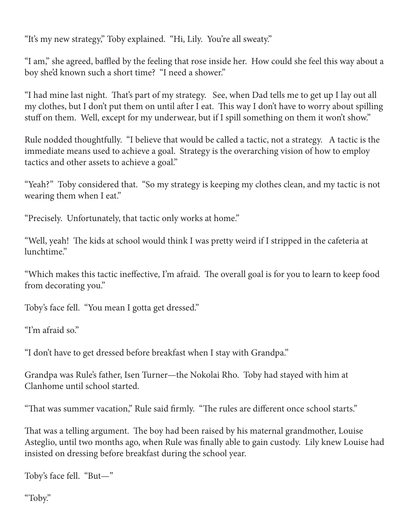"It's my new strategy," Toby explained. "Hi, Lily. You're all sweaty."

"I am," she agreed, baffled by the feeling that rose inside her. How could she feel this way about a boy she'd known such a short time? "I need a shower."

"I had mine last night. That's part of my strategy. See, when Dad tells me to get up I lay out all my clothes, but I don't put them on until after I eat. This way I don't have to worry about spilling stuff on them. Well, except for my underwear, but if I spill something on them it won't show."

Rule nodded thoughtfully. "I believe that would be called a tactic, not a strategy. A tactic is the immediate means used to achieve a goal. Strategy is the overarching vision of how to employ tactics and other assets to achieve a goal."

"Yeah?" Toby considered that. "So my strategy is keeping my clothes clean, and my tactic is not wearing them when I eat."

"Precisely. Unfortunately, that tactic only works at home."

"Well, yeah! The kids at school would think I was pretty weird if I stripped in the cafeteria at lunchtime."

"Which makes this tactic ineffective, I'm afraid. The overall goal is for you to learn to keep food from decorating you."

Toby's face fell. "You mean I gotta get dressed."

"I'm afraid so."

"I don't have to get dressed before breakfast when I stay with Grandpa."

Grandpa was Rule's father, Isen Turner—the Nokolai Rho. Toby had stayed with him at Clanhome until school started.

"That was summer vacation," Rule said firmly. "The rules are different once school starts."

That was a telling argument. The boy had been raised by his maternal grandmother, Louise Asteglio, until two months ago, when Rule was finally able to gain custody. Lily knew Louise had insisted on dressing before breakfast during the school year.

Toby's face fell. "But—"

"Toby."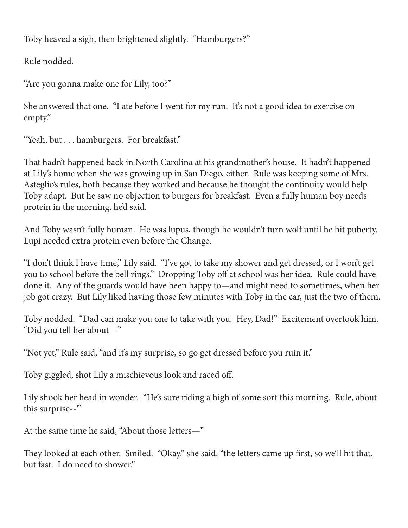Toby heaved a sigh, then brightened slightly. "Hamburgers?"

Rule nodded.

"Are you gonna make one for Lily, too?"

She answered that one. "I ate before I went for my run. It's not a good idea to exercise on empty."

"Yeah, but . . . hamburgers. For breakfast."

That hadn't happened back in North Carolina at his grandmother's house. It hadn't happened at Lily's home when she was growing up in San Diego, either. Rule was keeping some of Mrs. Asteglio's rules, both because they worked and because he thought the continuity would help Toby adapt. But he saw no objection to burgers for breakfast. Even a fully human boy needs protein in the morning, he'd said.

And Toby wasn't fully human. He was lupus, though he wouldn't turn wolf until he hit puberty. Lupi needed extra protein even before the Change.

"I don't think I have time," Lily said. "I've got to take my shower and get dressed, or I won't get you to school before the bell rings." Dropping Toby off at school was her idea. Rule could have done it. Any of the guards would have been happy to—and might need to sometimes, when her job got crazy. But Lily liked having those few minutes with Toby in the car, just the two of them.

Toby nodded. "Dad can make you one to take with you. Hey, Dad!" Excitement overtook him. "Did you tell her about—"

"Not yet," Rule said, "and it's my surprise, so go get dressed before you ruin it."

Toby giggled, shot Lily a mischievous look and raced off.

Lily shook her head in wonder. "He's sure riding a high of some sort this morning. Rule, about this surprise--'''

At the same time he said, "About those letters—"

They looked at each other. Smiled. "Okay," she said, "the letters came up first, so we'll hit that, but fast. I do need to shower."